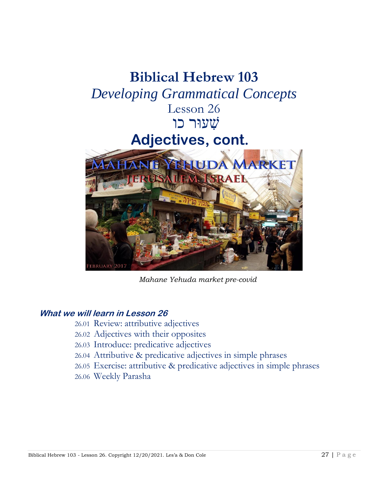

*Mahane Yehuda market pre-covid*

## **What we will learn in Lesson 26**

- 26.01 Review: attributive adjectives
- 26.02 Adjectives with their opposites
- 26.03 Introduce: predicative adjectives
- 26.04 Attributive & predicative adjectives in simple phrases
- 26.05 Exercise: attributive & predicative adjectives in simple phrases
- 26.06 Weekly Parasha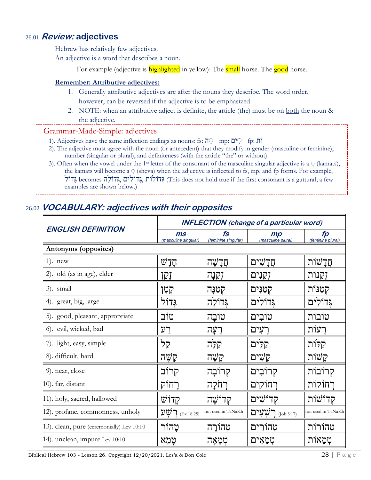## 26.01 **Review: adjectives**

Hebrew has relatively few adjectives.

An adjective is a word that describes a noun.

For example (adjective is **highlighted** in yellow): The **small** horse. The **good** horse.

#### **Remember: Attributive adjectives:**

- 1. Generally attributive adjectives are after the nouns they describe. The word order, however, can be reversed if the adjective is to be emphasized.
- 2. NOTE: when an attributive adject is definite, the article (the) must be on both the noun & the adjective.

#### Grammar-Made-Simple: adjectives

- 1). Adjectives have the same inflection endings as nouns: fs:  $\overline{p}$  mp:  $\overline{p}$  fp:  $\overline{p}$  in
- 2). The adjective must agree with the noun (or antecedent) that they modify in gender (masculine or feminine), number (singular or plural), and definiteness (with the article "the" or without).
- 3). Often when the vowel under the 1<sup>st</sup> letter of the consonant of the masculine singular adjective is a  $\circ$  (kamats), the kamats will become a **ְ** (sheva) when the adjective is inflected to fs, mp, and fp forms. For example, בְּדֹוֹלִים ,גְּדוֹלִים גְּגוֹלִים (This does not hold true if the first consonant is a guttural; a few examples are shown below.)

| <b>ENGLISH DEFINITION</b>                 | <b>INFLECTION</b> (change of a particular word) |                                       |                          |                         |  |
|-------------------------------------------|-------------------------------------------------|---------------------------------------|--------------------------|-------------------------|--|
|                                           | ms<br>(masculine singular)                      | $\mathbf{f}$ s<br>(feminine singular) | mp<br>(masculine plural) | fp<br>(feminine plural) |  |
| Antonyms (opposites)                      |                                                 |                                       |                          |                         |  |
| $1$ ). new                                | הָדָשׁ                                          | חַדַשַּׁה                             | חֲדָשִׁים                | חֲדַשׁוֹת               |  |
| 2). old (as in age), elder                | יָקן                                            | זְקִנְה                               | זִקְנִים                 | זִקֵנוֹת                |  |
| 3). small                                 | קְטָן                                           | קטַנַּה                               | קטַנִּים                 | קטַנּוֹת                |  |
| 4). great, big, large                     | <u>גַּ</u> דוֹל                                 | גְדוֹלַה                              | גְדוֹלִים                | גְּדוֹלִים              |  |
| 5). good, pleasant, appropriate           | טוֹב                                            | טוֹבָה                                | טוֹבִים                  | טוֹבוֹת                 |  |
| 6). evil, wicked, bad                     | רע                                              | רְעָה                                 | רַעִים                   | רעות                    |  |
| 7). light, easy, simple                   | קל                                              | קלָה                                  | קלים                     | קלות                    |  |
| 8). difficult, hard                       | קַשֶּׁה                                         | קַשֲׁה                                | קַשִׁים                  | קשות                    |  |
| 9). near, close                           | קרוֹב                                           | קְרוֹבָה                              | קרוׁבִים                 | קרובות                  |  |
| 10). far, distant                         | רַחוֹק                                          | רחקה                                  | רחוקים                   | רחוקות                  |  |
| 11). holy, sacred, hallowed               | קדוש                                            | קדושה                                 | קדוֹשִׁים                | קדושות                  |  |
| 12). profane, commonness, unholy          | <u>רשע</u> (Ex 18:25)                           | not used in TaNaKh                    | רַשֲעָים (Job 3:17)      | not used in TaNaKh      |  |
| 13). clean, pure (ceremonially) Lev 10:10 | טהור                                            | טְהוֹרַה                              | טְהורִים                 | טְהוֹרוֹת               |  |
| 14). unclean, impure Lev 10:10            | טַמֵא                                           | ּטְמֵאָה                              | טִמְאִים                 | טִמֵאות                 |  |

# 26.02 **VOCABULARY: adjectives with their opposites**

Biblical Hebrew 103 - Lesson 26. Copyright 12/20/2021. Les'a & Don Cole 28 | P a g e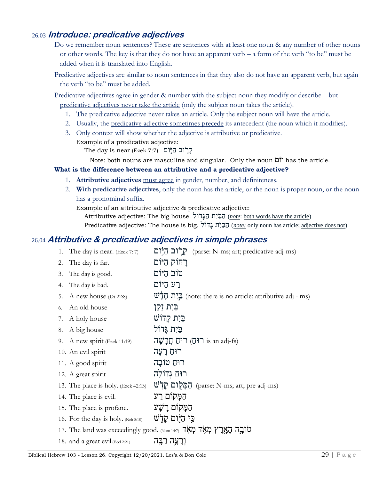## 26.03 **Introduce: predicative adjectives**

- Do we remember noun sentences? These are sentences with at least one noun & any number of other nouns or other words. The key is that they do not have an apparent verb – a form of the verb "to be" must be added when it is translated into English.
- Predicative adjectives are similar to noun sentences in that they also do not have an apparent verb, but again the verb "to be" must be added.

Predicative adjectives agree in gender & number with the subject noun they modify or describe – but predicative adjectives never take the article (only the subject noun takes the article).

- 1. The predicative adjective never takes an article. Only the subject noun will have the article.
- 2. Usually, the predicative adjective sometimes precede its antecedent (the noun which it modifies).
- 3. Only context will show whether the adjective is attributive or predicative. Example of a predicative adjective:

 $\Delta$ קְרֹוֹב הַיְּ֫וֹם (7:7 Ezek (Ezek הֵ

Note: both nouns are masculine and singular. Only the noun וםִֹי has the article.

#### **What is the difference between an attributive and a predicative adjective?**

- 1. **Attributive adjectives** must agree in gender, number, and definiteness.
- 2. **With predicative adjectives**, only the noun has the article, or the noun is proper noun, or the noun has a pronominal suffix.

Example of an attributive adjective & predicative adjective:

Attributive adjective: The big house. הַבָּיָת הַגָּדוֹל (note: both words have the article)

Predicative adjective: The house is big. ולִֹדָג ת יִַבִַה) *note:* only noun has article; adjective does not)

### slation of sentences. (Hint: refer to common adjectives in 26.02.) 26.04 **Attributive & predicative adjectives in simple phrases**

1. The day is near. (Ezek 7: 7)  $\frac{1}{2}$ ה (parse: N-ms; art; predicative adj-ms) רַחוֹק הַיּוֹם . The day is far .  $\alpha$ טׂוב הַיּוֹם  $\alpha$ ום  $\alpha$  . The day is good. רַע הַיּוֹם .A. The day is bad. 5. A new house (Dt 22:8)  $\underline{\mathbf{v}}$ יָה חַלֲלֹש (note: there is no article; attributive adj - ms) בִּיָת זִקְן  $\mathbf{z}$ וֹ An old house בִּיִת קַדֹוֹשׁ  $\ddot{\textbf{v}}$  7. A holy house בֵּיָת גָּדוֹלִ  $\blacksquare$  8. A big house 9. A new spirit (Ezek 11:19) הוֹחָ חֲדָשָׁה is an adj-fs) רוּחַ רַעֲה רוּחַ טוֹבָה הִ spirit רוּחַ טוֹבָה רוּחַ גְדוֹלָה spirit רוּחַ גִדוֹלִה 13. The place is holy. (Ezek 42:13)  $\vec{w}$ הָמַּקוֹם  $\vec{q}$ ום (parse: N-ms; art; pre adj-ms) הַמַּקוֹם רַע ... The place is evil **הַמֵּקוֹם** הַמַּקוֹם רַשָׁע . .profane . הַמַּקוֹם הַ  $\blacksquare$  if is holy is holy. (Neh 8:10) הֵי הַיֹּוֹם קַדָּ טֿובָה הָאָרֶץ מְאָד מְאֹֽד הָיוּהוּוּה (וועשט פֿובָה הָאֲרָ וְרָעֲה רַבָּה (2:21 Eccl 2:21) וְרִעֲה כַבָּה